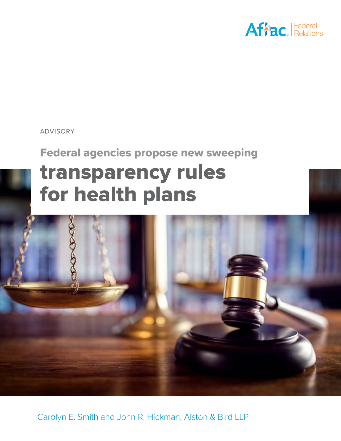

### ADVISORY

# **Federal agencies propose new sweeping transparency rules for health plans**



Carolyn E. Smith and John R. Hickman, Alston & Bird LLP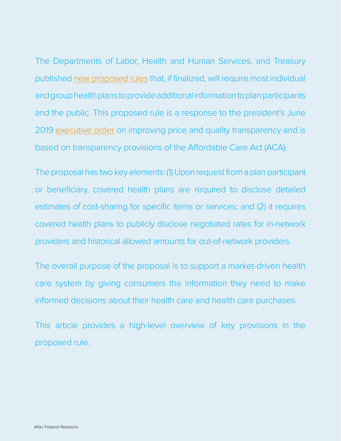The Departments of Labor, Health and Human Services, and Treasury published [new proposed rules](https://www.govinfo.gov/content/pkg/FR-2019-11-27/pdf/2019-25011.pdf) that, if finalized, will require most individual and group health plans to provide additional information to plan participants and the public. This proposed rule is a response to the president's June 2019 [executive order](https://www.whitehouse.gov/presidential-actions/executive-order-improving-price-quality-transparency-american-healthcare-put-patients-first/) on improving price and quality transparency and is based on transparency provisions of the Affordable Care Act (ACA).

The proposal has two key elements: (1) Upon request from a plan participant or beneficiary, covered health plans are required to disclose detailed estimates of cost-sharing for specific items or services; and (2) it requires covered health plans to publicly disclose negotiated rates for in-network providers and historical allowed amounts for out-of-network providers.

The overall purpose of the proposal is to support a market-driven health care system by giving consumers the information they need to make informed decisions about their health care and health care purchases.

This article provides a high-level overview of key provisions in the proposed rule.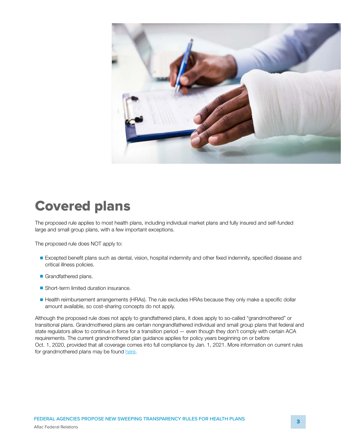

### **Covered plans**

The proposed rule applies to most health plans, including individual market plans and fully insured and self-funded large and small group plans, with a few important exceptions.

The proposed rule does NOT apply to:

- Excepted benefit plans such as dental, vision, hospital indemnity and other fixed indemnity, specified disease and critical illness policies.
- Grandfathered plans.
- Short-term limited duration insurance.
- Health reimbursement arrangements (HRAs). The rule excludes HRAs because they only make a specific dollar amount available, so cost-sharing concepts do not apply.

Although the proposed rule does not apply to grandfathered plans, it does apply to so-called "grandmothered" or transitional plans. Grandmothered plans are certain nongrandfathered individual and small group plans that federal and state regulators allow to continue in force for a transition period — even though they don't comply with certain ACA requirements. The current grandmothered plan guidance applies for policy years beginning on or before Oct. 1, 2020, provided that all coverage comes into full compliance by Jan. 1, 2021. More information on current rules for grandmothered plans may be found [here](https://www.cms.gov/CCIIO/Resources/Regulations-and-Guidance/Downloads/Limited-Non-Enforcement-Policy-Extension-Through-CY2020.pdf).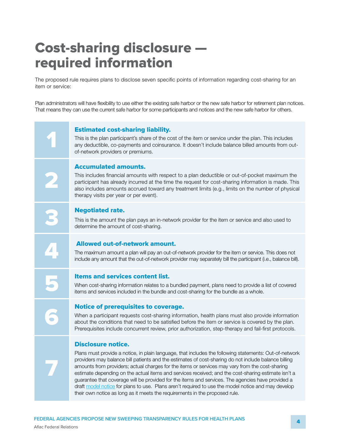## **Cost-sharing disclosure required information**

The proposed rule requires plans to disclose seven specific points of information regarding cost-sharing for an item or service:

Plan administrators will have flexibility to use either the existing safe harbor or the new safe harbor for retirement plan notices. That means they can use the current safe harbor for some participants and notices and the new safe harbor for others.

**12 <b>11 Estimated cost-sharing liability.**<br>
This is the plan participant's share of the co<br>
any deductible, co-payments and coinsural<br>
of petwork providers or premiums This is the plan participant's share of the cost of the item or service under the plan. This includes any deductible, co-payments and coinsurance. It doesn't include balance billed amounts from outof-network providers or premiums.

### **Accumulated amounts.**

This includes financial amounts with respect to a plan deductible or out-of-pocket maximum the participant has already incurred at the time the request for cost-sharing information is made. This also includes amounts accrued toward any treatment limits (e.g., limits on the number of physical therapy visits per year or per event).

**1 Negotiated rate.**<br>This is the amount the determine the amount This is the amount the plan pays an in-network provider for the item or service and also used to determine the amount of cost-sharing.

### **4 Allowed out-of-network amount.**

The maximum amount a plan will pay an out-of-network provider for the item or service. This does not include any amount that the out-of-network provider may separately bill the participant (i.e., balance bill).

**Items and services content list.**<br>
When cost-sharing information relates to a bundled payment, plans need to provide a<br>
items and services included in the bundle and cost-sharing for the bundle as a whole. When cost-sharing information relates to a bundled payment, plans need to provide a list of covered

**7**

**2**

**6 <b>6 Solution 6 <b>6 Solution 6** *Motice of prerequisites to coverage.*<br>When a participant requests cost-sharing informabout the conditions that need to be satisfied b<br>Prerequisites include concurrent review, prior at When a participant requests cost-sharing information, health plans must also provide information about the conditions that need to be satisfied before the item or service is covered by the plan. Prerequisites include concurrent review, prior authorization, step-therapy and fail-first protocols.

### **Disclosure notice.**

Plans must provide a notice, in plain language, that includes the following statements: Out-of-network providers may balance bill patients and the estimates of cost-sharing do not include balance billing amounts from providers; actual charges for the items or services may vary from the cost-sharing estimate depending on the actual items and services received; and the cost-sharing estimate isn't a guarantee that coverage will be provided for the items and services. The agencies have provided a draft [model notice](https://www.dol.gov/sites/dolgov/files/ebsa/laws-and-regulations/laws/affordable-care-act/for-employers-and-advisers/transparency-in-coverage-draft-model-disclosure.pdf) for plans to use. Plans aren't required to use the model notice and may develop their own notice as long as it meets the requirements in the proposed rule.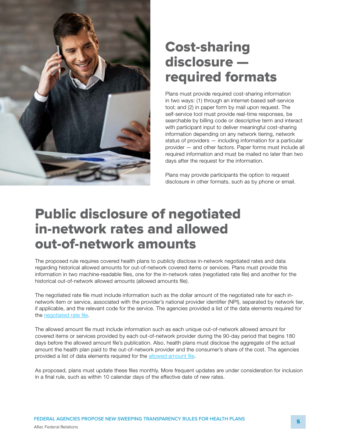

## **Cost-sharing disclosure required formats**

Plans must provide required cost-sharing information in two ways: (1) through an internet-based self-service tool; and (2) in paper form by mail upon request. The self-service tool must provide real-time responses, be searchable by billing code or descriptive term and interact with participant input to deliver meaningful cost-sharing information depending on any network tiering, network status of providers — including information for a particular provider — and other factors. Paper forms must include all required information and must be mailed no later than two days after the request for the information.

Plans may provide participants the option to request disclosure in other formats, such as by phone or email.

## **Public disclosure of negotiated in-network rates and allowed out-of-network amounts**

The proposed rule requires covered health plans to publicly disclose in-network negotiated rates and data regarding historical allowed amounts for out-of-network covered items or services. Plans must provide this information in two machine-readable files, one for the in-network rates (negotiated rate file) and another for the historical out-of-network allowed amounts (allowed amounts file).

The negotiated rate file must include information such as the dollar amount of the negotiated rate for each innetwork item or service, associated with the provider's national provider identifier (NPI), separated by network tier, if applicable, and the relevant code for the service. The agencies provided a list of the data elements required for the n[egotiated rate file](https://www.dol.gov/sites/dolgov/files/ebsa/laws-and-regulations/laws/affordable-care-act/for-employers-and-advisers/transparency-in-coverage-negotiated-rate-file.pdf).

The allowed amount file must include information such as each unique out-of-network allowed amount for covered items or services provided by each out-of-network provider during the 90-day period that begins 180 days before the allowed amount file's publication. Also, health plans must disclose the aggregate of the actual amount the health plan paid to the out-of-network provider and the consumer's share of the cost. The agencies provided a list of data elements required for the [allowed amount file](https://www.dol.gov/sites/dolgov/files/ebsa/laws-and-regulations/laws/affordable-care-act/for-employers-and-advisers/transparency-in-coverage-allowed-amounts-file.pdf).

As proposed, plans must update these files monthly. More frequent updates are under consideration for inclusion in a final rule, such as within 10 calendar days of the effective date of new rates.